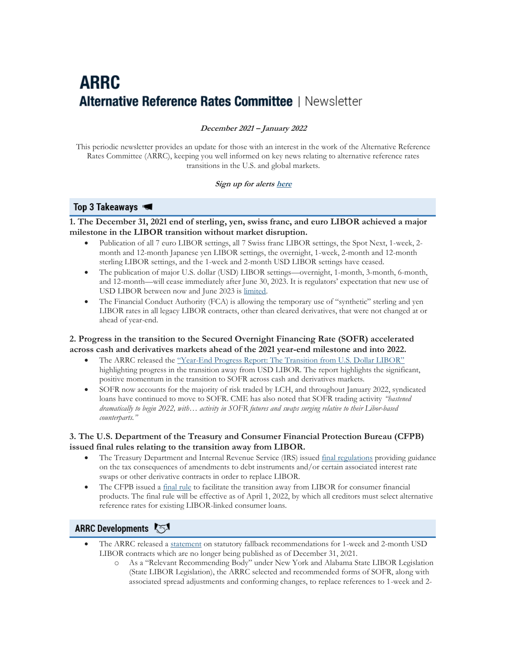# **ARRC Alternative Reference Rates Committee | Newsletter**

#### **December 2021 – January 2022**

This periodic newsletter provides an update for those with an interest in the work of the Alternative Reference Rates Committee (ARRC), keeping you well informed on key news relating to alternative reference rates transitions in the U.S. and global markets.

#### **Sign up for alert[s here](https://service.govdelivery.com/accounts/USFRBNYARRC/subscriber/new?topic_id=USFRBNYARRC_4)**

### Top 3 Takeaways \*

#### **1. The December 31, 2021 end of sterling, yen, swiss franc, and euro LIBOR achieved a major milestone in the LIBOR transition without market disruption.**

- Publication of all 7 euro LIBOR settings, all 7 Swiss franc LIBOR settings, the Spot Next, 1-week, 2 month and 12-month Japanese yen LIBOR settings, the overnight, 1-week, 2-month and 12-month sterling LIBOR settings, and the 1-week and 2-month USD LIBOR settings have ceased.
- The publication of major U.S. dollar (USD) LIBOR settings—overnight, 1-month, 3-month, 6-month, and 12-month—will cease immediately after June 30, 2023. It is regulators' expectation that new use of USD LIBOR between now and June 2023 is [limited.](https://www.federalreserve.gov/newsevents/pressreleases/files/bcreg20201130a1.pdf)
- The Financial Conduct Authority (FCA) is allowing the temporary use of "synthetic" sterling and yen LIBOR rates in all legacy LIBOR contracts, other than cleared derivatives, that were not changed at or ahead of year-end.

### **2. Progress in the transition to the Secured Overnight Financing Rate (SOFR) accelerated across cash and derivatives markets ahead of the 2021 year-end milestone and into 2022.**

- The ARRC released the "Year-[End Progress Report: The Transition from U.S. Dollar LIBOR"](https://www.newyorkfed.org/medialibrary/Microsites/arrc/files/2021/20211216-usd-libor-year-end-transition-progress-report) highlighting progress in the transition away from USD LIBOR. The report highlights the significant, positive momentum in the transition to SOFR across cash and derivatives markets.
- SOFR now accounts for the majority of risk traded by LCH, and throughout January 2022, syndicated loans have continued to move to SOFR. CME has also noted that SOFR trading activity *"hastened dramatically to begin 2022, with… activity in SOFR futures and swaps surging relative to their Libor-based counterparts."*

#### **3. The U.S. Department of the Treasury and Consumer Financial Protection Bureau (CFPB) issued final rules relating to the transition away from LIBOR.**

- The Treasury Department and Internal Revenue Service (IRS) issued [final regulations](https://www.federalregister.gov/documents/2022/01/04/2021-28452/guidance-on-the-transition-from-interbank-offered-rates-to-other-reference-rates) providing guidance on the tax consequences of amendments to debt instruments and/or certain associated interest rate swaps or other derivative contracts in order to replace LIBOR.
- The CFPB issued a [final rule](https://files.consumerfinance.gov/f/documents/cfpb_facilitating-libor-transition_final-rule_2021-12.pdf) to facilitate the transition away from LIBOR for consumer financial products. The final rule will be effective as of April 1, 2022, by which all creditors must select alternative reference rates for existing LIBOR-linked consumer loans.

## ARRC Developments 【 3

- The ARRC released a [statement](https://www.newyorkfed.org/medialibrary/Microsites/arrc/files/2021/ARRC-Statement-LIBOR-tenors-Legislation.pdf) on statutory fallback recommendations for 1-week and 2-month USD LIBOR contracts which are no longer being published as of December 31, 2021.
	- o As a "Relevant Recommending Body" under New York and Alabama State LIBOR Legislation (State LIBOR Legislation), the ARRC selected and recommended forms of SOFR, along with associated spread adjustments and conforming changes, to replace references to 1-week and 2-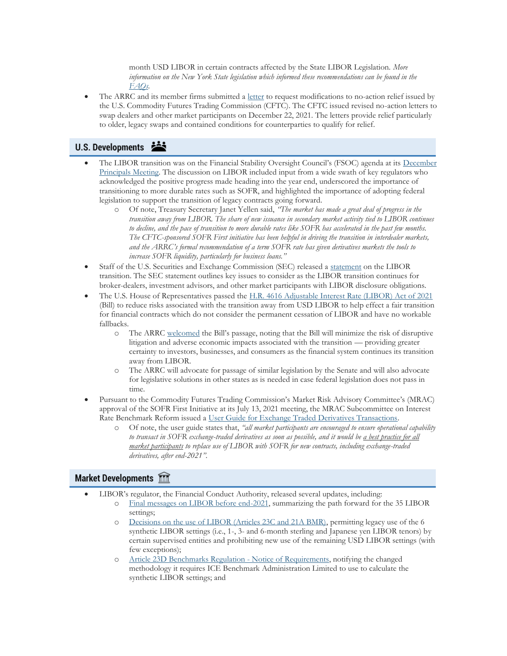month USD LIBOR in certain contracts affected by the State LIBOR Legislation. *More information on the New York State legislation which informed these recommendations can be found in the [FAQs.](https://www.newyorkfed.org/medialibrary/Microsites/arrc/files/2021/ARRC-NYS-Libor-legislation-faq.pdf)*

The ARRC and its member firms submitted a [letter](https://www.newyorkfed.org/medialibrary/Microsites/arrc/files/2021/ARRC-CFTC-No-Action-Relief-Extension-Request.pdf) to request modifications to no-action relief issued by the U.S. Commodity Futures Trading Commission (CFTC). The CFTC issued revised no-action letters to swap dealers and other market participants on December 22, 2021. The letters provide relief particularly to older, legacy swaps and contained conditions for counterparties to qualify for relief.

## U.S. Developments

- The LIBOR transition was on the Financial Stability Oversight Council's (FSOC) agenda at its December [Principals Meeting.](http://www.yorkcast.com/treasury/events/2021/12/17/fsoc/) The discussion on LIBOR included input from a wide swath of key regulators who acknowledged the positive progress made heading into the year end, underscored the importance of transitioning to more durable rates such as SOFR, and highlighted the importance of adopting federal legislation to support the transition of legacy contracts going forward.
	- o Of note, Treasury Secretary Janet Yellen said, *"The market has made a great deal of progress in the transition away from LIBOR. The share of new issuance in secondary market activity tied to LIBOR continues to decline, and the pace of transition to more durable rates like SOFR has accelerated in the past few months. The CFTC-sponsored SOFR First initiative has been helpful in driving the transition in interdealer markets, and the ARRC's formal recommendation of a term SOFR rate has given derivatives markets the tools to increase SOFR liquidity, particularly for business loans."*
- Staff of the U.S. Securities and Exchange Commission (SEC) released a [statement](https://www.sec.gov/news/statement/staff-statement-libor-transition-20211207?utm_medium=email&utm_source=govdelivery) on the LIBOR transition. The SEC statement outlines key issues to consider as the LIBOR transition continues for broker-dealers, investment advisors, and other market participants with LIBOR disclosure obligations.
- The U.S. House of Representatives passed the [H.R. 4616 Adjustable Interest Rate \(LIBOR\) Act of 2021](https://docs.house.gov/billsthisweek/20211206/BILLS-117hr4616-SUSv1.pdf) (Bill) to reduce risks associated with the transition away from USD LIBOR to help effect a fair transition for financial contracts which do not consider the permanent cessation of LIBOR and have no workable fallbacks.
	- o The ARRC [welcomed](https://www.newyorkfed.org/medialibrary/Microsites/arrc/files/2021/ARRC-Press-Release-House-LIBOR-Legislation.pdf) the Bill's passage, noting that the Bill will minimize the risk of disruptive litigation and adverse economic impacts associated with the transition — providing greater certainty to investors, businesses, and consumers as the financial system continues its transition away from LIBOR.
	- o The ARRC will advocate for passage of similar legislation by the Senate and will also advocate for legislative solutions in other states as is needed in case federal legislation does not pass in time.
- Pursuant to the Commodity Futures Trading Commission's Market Risk Advisory Committee's (MRAC) approval of the SOFR First Initiative at its July 13, 2021 meeting, the MRAC Subcommittee on Interest Rate Benchmark Reform issued a [User Guide for Exchange Traded Derivatives Transactions.](https://www.cftc.gov/media/6816/SOFRFIRSTUSERGUIDE/download) 
	- o Of note, the user guide states that, *"all market participants are encouraged to ensure operational capability to transact in SOFR exchange-traded derivatives as soon as possible, and it would be a best practice for all market participants to replace use of LIBOR with SOFR for new contracts, including exchange-traded derivatives, after end-2021".*

### **Market Developments** 111

- LIBOR's regulator, the Financial Conduct Authority, released several updates, including:
	- o [Final messages on LIBOR before end-2021,](https://www.fca.org.uk/news/news-stories/final-messages-libor-end-2021) summarizing the path forward for the 35 LIBOR settings:
	- o [Decisions on the use of LIBOR \(Articles 23C and 21A BMR\),](https://www.fca.org.uk/publication/feedback/fs21-12.pdf) permitting legacy use of the 6 synthetic LIBOR settings (i.e., 1-, 3- and 6-month sterling and Japanese yen LIBOR tenors) by certain supervised entities and prohibiting new use of the remaining USD LIBOR settings (with few exceptions);
	- o [Article 23D Benchmarks Regulation -](https://www.fca.org.uk/publication/libor-notices/article-23d-benchmarks-regulation.pdf) Notice of Requirements, notifying the changed methodology it requires ICE Benchmark Administration Limited to use to calculate the synthetic LIBOR settings; and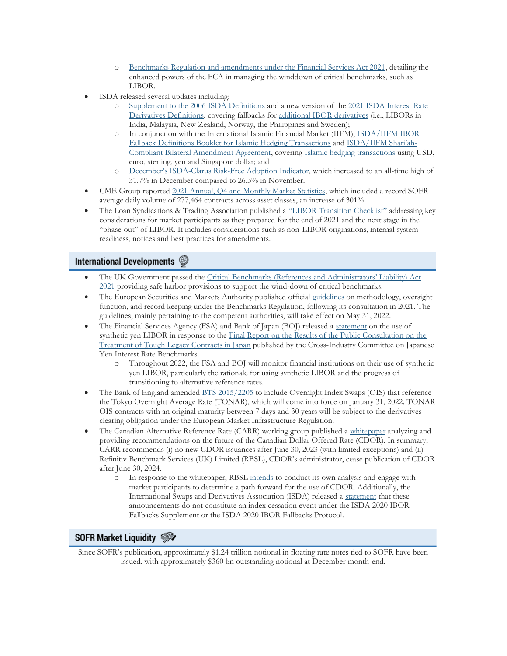- o [Benchmarks Regulation and amendments under the Financial Services Act 2021,](https://www.fca.org.uk/publication/policy/benchmarks-regulation-proposed-amendments-financial-services-bill.pdf) detailing the enhanced powers of the FCA in managing the winddown of critical benchmarks, such as LIBOR.
- ISDA released several updates including:
	- o [Supplement to the 2006 ISDA Definitions](https://www.isda.org/a/mhtgE/Supplement-90-to-the-2006-ISDA-Definitions-2021-ISDA-IBOR-Fallbacks-Supplement_Final.pdf) and a new version of the [2021 ISDA Interest Rate](https://mylibrary.isda.org/document/93db5e80-5dd4-11ec-8549-0242e05cf0ae/contents/944989a0-5dd4-11ec-8549-0242e05cf0ae)  [Derivatives Definitions,](https://mylibrary.isda.org/document/93db5e80-5dd4-11ec-8549-0242e05cf0ae/contents/944989a0-5dd4-11ec-8549-0242e05cf0ae) covering fallbacks for [additional IBOR derivatives](https://www.isda.org/a/TltgE/ISDA-Publishes-New-Fallbacks-for-Additional-IBORs.pdf) (i.e., LIBORs in India, Malaysia, New Zealand, Norway, the Philippines and Sweden);
	- o In conjunction with the International Islamic Financial Market (IIFM), [ISDA/IIFM IBOR](https://www.isda.org/a/HVtgE/IIFM-IBOR-Fallback-Definitions-Booklet-for-Islamic-Hedging-Transactions.pdf)  [Fallback Definitions Booklet for Islamic Hedging Transactions](https://www.isda.org/a/HVtgE/IIFM-IBOR-Fallback-Definitions-Booklet-for-Islamic-Hedging-Transactions.pdf) and [ISDA/IIFM Shari'ah](https://www.isda.org/a/rVtgE/IIFM-IBOR-Bilateral-Amendment-Agreement.docx)-[Compliant Bilateral Amendment Agreement,](https://www.isda.org/a/rVtgE/IIFM-IBOR-Bilateral-Amendment-Agreement.docx) covering [Islamic hedging transactions](https://www.isda.org/a/C2tgE/IIFM-and-ISDA-publish-IBOR-Fallback-Bilateral-Amendment-Agreement-and-Definitions-Booklet.pdf) using USD, euro, sterling, yen and Singapore dollar; and
	- o December's ISDA[-Clarus Risk-Free Adoption Indicator,](https://www.isda.org/2022/01/12/isda-clarus-rfr-adoption-indicator-december-2021/) which increased to an all-time high of 31.7% in December compared to 26.3% in November.
- CME Group reported [2021 Annual, Q4 and Monthly Market Statistics,](https://www.cmegroup.com/media-room/press-releases/2022/1/04/cme_group_reports2021annualq4andmonthlymarketstatistics.html) which included a record SOFR average daily volume of 277,464 contracts across asset classes, an increase of 301%.
- The Loan Syndications & Trading Association published a ["LIBOR Transition Checklist"](https://www.lsta.org/content/libor-transition-checklist-market-advisory/) addressing key considerations for market participants as they prepared for the end of 2021 and the next stage in the "phase-out" of LIBOR. It includes considerations such as non-LIBOR originations, internal system readiness, notices and best practices for amendments.

## International Developments <sup>@</sup>

- The UK Government passed the Critical Benchmarks (References and Administrators' Liability) Act [2021](https://www.legislation.gov.uk/ukpga/2021/33/contents/enacted) providing safe harbor provisions to support the wind-down of critical benchmarks.
- The European Securities and Markets Authority published official [guidelines](https://www.esma.europa.eu/sites/default/files/library/esma81-393-288_guidelines_on_methodology_oversight_function_and_record_keeping_under_the_benchmarks_regulation.pdf) on methodology, oversight function, and record keeping under the Benchmarks Regulation, following its consultation in 2021. The guidelines, mainly pertaining to the competent authorities, will take effect on May 31, 2022.
- The Financial Services Agency (FSA) and Bank of Japan (BOJ) released a [statement](https://www.fsa.go.jp/en/policy/libor/toughlegacy211125_en.pdf) on the use of synthetic yen LIBOR in response to the Final Report on the Results of the Public Consultation on the [Treatment of Tough Legacy Contracts in Japan](https://www.boj.or.jp/en/paym/market/jpy_cmte/cmt211119a.pdf) published by the Cross-Industry Committee on Japanese Yen Interest Rate Benchmarks.
	- o Throughout 2022, the FSA and BOJ will monitor financial institutions on their use of synthetic yen LIBOR, particularly the rationale for using synthetic LIBOR and the progress of transitioning to alternative reference rates.
- The Bank of England amended [BTS 2015/2205](https://www.bankofengland.co.uk/paper/2021/derivatives-clearing-obligation-introduction-of-contracts-referencing-tona-ps) to include Overnight Index Swaps (OIS) that reference the Tokyo Overnight Average Rate (TONAR), which will come into force on January 31, 2022. TONAR OIS contracts with an original maturity between 7 days and 30 years will be subject to the derivatives clearing obligation under the European Market Infrastructure Regulation.
- The Canadian Alternative Reference Rate (CARR) working group published a [whitepaper](https://www.bankofcanada.ca/wp-content/uploads/2021/12/CARR-Review-CDOR-Analysis-Recommendations.pdf) analyzing and providing recommendations on the future of the Canadian Dollar Offered Rate (CDOR). In summary, CARR recommends (i) no new CDOR issuances after June 30, 2023 (with limited exceptions) and (ii) Refinitiv Benchmark Services (UK) Limited (RBSL), CDOR's administrator, cease publication of CDOR after June 30, 2024.
	- o In response to the whitepaper, RBSL [intends](https://www.refinitiv.com/en/media-center/press-releases/2021/december/refinitiv-responds-to-white-paper-by-the-canadian-alternative-reference-rate-working-group-regarding-cdor) to conduct its own analysis and engage with market participants to determine a path forward for the use of CDOR. Additionally, the International Swaps and Derivatives Association (ISDA) released a [statement](https://www.isda.org/a/zstgE/ISDA-Statement-on-CARR-and-RBSL-Announcements-on-CDOR-Final.pdf) that these announcements do not constitute an index cessation event under the ISDA 2020 IBOR Fallbacks Supplement or the ISDA 2020 IBOR Fallbacks Protocol.

## **SOFR Market Liquidity**

Since SOFR's publication, approximately \$1.24 trillion notional in floating rate notes tied to SOFR have been issued, with approximately \$360 bn outstanding notional at December month-end.